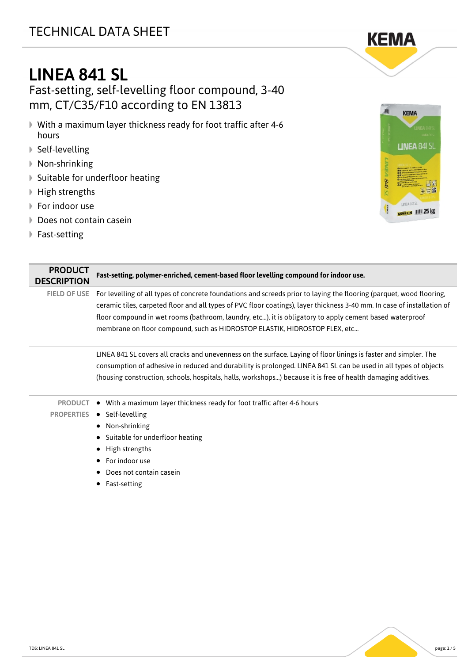## TECHNICAL DATA SHEET



# LINEA 841 SL

Fast-setting, self-levelling floor compound, 3-40 mm, CT/C35/F10 according to EN 13813

- With a maximum layer thickness ready for foot traffic after 4-6 hours
- Self-levelling
- Non-shrinking
- ▶ Suitable for underfloor heating
- ▶ High strengths
- **▶ For indoor use**
- ▶ Does not contain casein
- ▶ Fast-setting



**KEMA** 

| <b>PRODUCT</b><br><b>DESCRIPTION</b> | Fast-setting, polymer-enriched, cement-based floor levelling compound for indoor use.                                                                                                                                                                                                                                                                                                                                                    |
|--------------------------------------|------------------------------------------------------------------------------------------------------------------------------------------------------------------------------------------------------------------------------------------------------------------------------------------------------------------------------------------------------------------------------------------------------------------------------------------|
| <b>FIELD OF USE</b>                  | For levelling of all types of concrete foundations and screeds prior to laying the flooring (parquet, wood flooring,<br>ceramic tiles, carpeted floor and all types of PVC floor coatings), layer thickness 3-40 mm. In case of installation of<br>floor compound in wet rooms (bathroom, laundry, etc), it is obligatory to apply cement based waterproof<br>membrane on floor compound, such as HIDROSTOP ELASTIK, HIDROSTOP FLEX, etc |
|                                      | LINEA 841 SL covers all cracks and unevenness on the surface. Laying of floor linings is faster and simpler. The<br>consumption of adhesive in reduced and durability is prolonged. LINEA 841 SL can be used in all types of objects<br>(housing construction, schools, hospitals, halls, workshops) because it is free of health damaging additives.                                                                                    |
| <b>PRODUCT</b><br><b>PROPERTIES</b>  | • With a maximum layer thickness ready for foot traffic after 4-6 hours<br>• Self-levelling<br>• Non-shrinking<br>• Suitable for underfloor heating<br>High strengths<br>٠<br>For indoor use<br>$\bullet$<br>Does not contain casein<br>Fast-setting                                                                                                                                                                                     |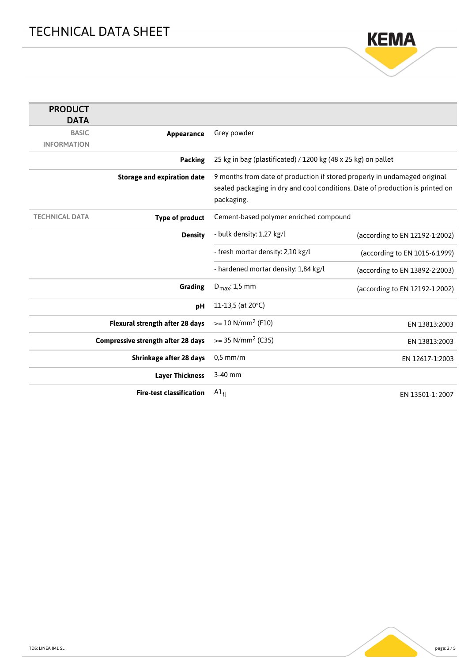

| <b>PRODUCT</b><br><b>DATA</b> |                                           |                                                                               |                                |
|-------------------------------|-------------------------------------------|-------------------------------------------------------------------------------|--------------------------------|
| <b>BASIC</b>                  | Appearance                                | Grey powder                                                                   |                                |
| <b>INFORMATION</b>            |                                           |                                                                               |                                |
|                               | <b>Packing</b>                            | 25 kg in bag (plastificated) / 1200 kg (48 x 25 kg) on pallet                 |                                |
|                               | <b>Storage and expiration date</b>        | 9 months from date of production if stored properly in undamaged original     |                                |
|                               |                                           | sealed packaging in dry and cool conditions. Date of production is printed on |                                |
|                               |                                           | packaging.                                                                    |                                |
| <b>TECHNICAL DATA</b>         | <b>Type of product</b>                    | Cement-based polymer enriched compound                                        |                                |
|                               | <b>Density</b>                            | - bulk density: 1,27 kg/l                                                     | (according to EN 12192-1:2002) |
|                               |                                           | - fresh mortar density: 2,10 kg/l                                             | (according to EN 1015-6:1999)  |
|                               |                                           | - hardened mortar density: 1,84 kg/l                                          | (according to EN 13892-2:2003) |
|                               | Grading                                   | $D_{\text{max}}$ : 1,5 mm                                                     | (according to EN 12192-1:2002) |
|                               | pH                                        | 11-13,5 (at 20°C)                                                             |                                |
|                               | Flexural strength after 28 days           | $>= 10 N/mm^2 (F10)$                                                          | EN 13813:2003                  |
|                               | <b>Compressive strength after 28 days</b> | $>= 35$ N/mm <sup>2</sup> (C35)                                               | EN 13813:2003                  |
|                               | Shrinkage after 28 days                   | $0.5$ mm/m                                                                    | EN 12617-1:2003                |
|                               | <b>Layer Thickness</b>                    | 3-40 mm                                                                       |                                |
|                               | <b>Fire-test classification</b>           | $AI_{fl}$                                                                     | EN 13501-1: 2007               |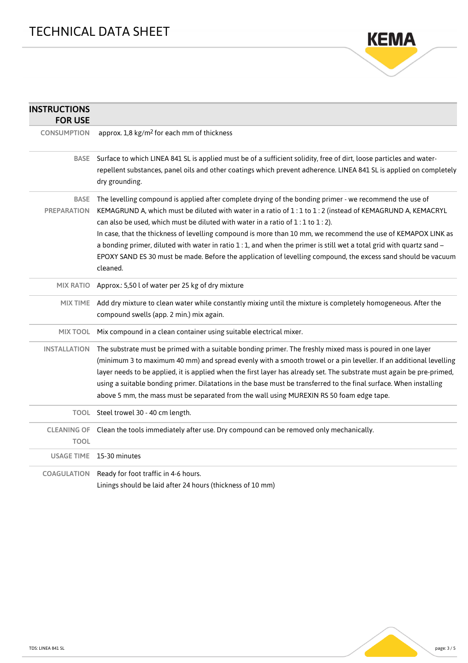

| <b>INSTRUCTIONS</b><br><b>FOR USE</b> |                                                                                                                                                                                                                                                                                                                                                                                                                                                                                                                                                                                                                                                                                |
|---------------------------------------|--------------------------------------------------------------------------------------------------------------------------------------------------------------------------------------------------------------------------------------------------------------------------------------------------------------------------------------------------------------------------------------------------------------------------------------------------------------------------------------------------------------------------------------------------------------------------------------------------------------------------------------------------------------------------------|
| <b>CONSUMPTION</b>                    | approx. 1,8 kg/m <sup>2</sup> for each mm of thickness                                                                                                                                                                                                                                                                                                                                                                                                                                                                                                                                                                                                                         |
| <b>BASE</b>                           | Surface to which LINEA 841 SL is applied must be of a sufficient solidity, free of dirt, loose particles and water-<br>repellent substances, panel oils and other coatings which prevent adherence. LINEA 841 SL is applied on completely<br>dry grounding.                                                                                                                                                                                                                                                                                                                                                                                                                    |
| <b>BASE</b><br><b>PREPARATION</b>     | The levelling compound is applied after complete drying of the bonding primer - we recommend the use of<br>KEMAGRUND A, which must be diluted with water in a ratio of 1:1 to 1:2 (instead of KEMAGRUND A, KEMACRYL<br>can also be used, which must be diluted with water in a ratio of $1:1$ to $1:2$ ).<br>In case, that the thickness of levelling compound is more than 10 mm, we recommend the use of KEMAPOX LINK as<br>a bonding primer, diluted with water in ratio 1:1, and when the primer is still wet a total grid with quartz sand -<br>EPOXY SAND ES 30 must be made. Before the application of levelling compound, the excess sand should be vacuum<br>cleaned. |
| <b>MIX RATIO</b>                      | Approx.: 5,50 l of water per 25 kg of dry mixture                                                                                                                                                                                                                                                                                                                                                                                                                                                                                                                                                                                                                              |
| <b>MIX TIME</b>                       | Add dry mixture to clean water while constantly mixing until the mixture is completely homogeneous. After the<br>compound swells (app. 2 min.) mix again.                                                                                                                                                                                                                                                                                                                                                                                                                                                                                                                      |
| MIX TOOL                              | Mix compound in a clean container using suitable electrical mixer.                                                                                                                                                                                                                                                                                                                                                                                                                                                                                                                                                                                                             |
| <b>INSTALLATION</b>                   | The substrate must be primed with a suitable bonding primer. The freshly mixed mass is poured in one layer<br>(minimum 3 to maximum 40 mm) and spread evenly with a smooth trowel or a pin leveller. If an additional levelling<br>layer needs to be applied, it is applied when the first layer has already set. The substrate must again be pre-primed,<br>using a suitable bonding primer. Dilatations in the base must be transferred to the final surface. When installing<br>above 5 mm, the mass must be separated from the wall using MUREXIN RS 50 foam edge tape.                                                                                                    |
|                                       | TOOL Steel trowel 30 - 40 cm length.                                                                                                                                                                                                                                                                                                                                                                                                                                                                                                                                                                                                                                           |
| <b>CLEANING OF</b><br><b>TOOL</b>     | Clean the tools immediately after use. Dry compound can be removed only mechanically.                                                                                                                                                                                                                                                                                                                                                                                                                                                                                                                                                                                          |
|                                       | USAGE TIME 15-30 minutes                                                                                                                                                                                                                                                                                                                                                                                                                                                                                                                                                                                                                                                       |
| <b>COAGULATION</b>                    | Ready for foot traffic in 4-6 hours.<br>Linings should be laid after 24 hours (thickness of 10 mm)                                                                                                                                                                                                                                                                                                                                                                                                                                                                                                                                                                             |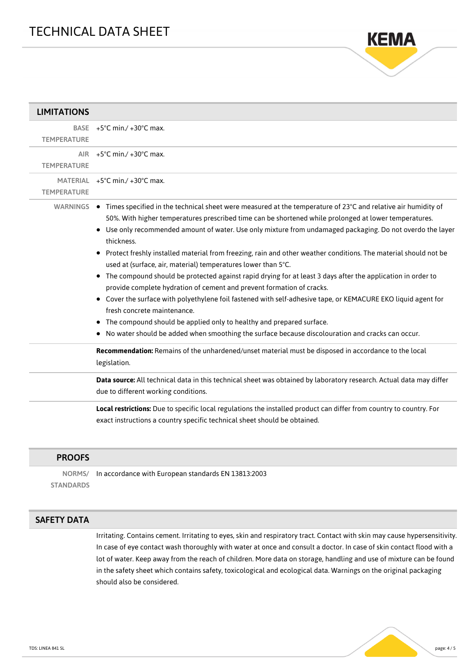

| <b>LIMITATIONS</b> |                                                                                                                                                                                                                                                                                                                                                                                                                                                                                                                                                                                                                                                                                                                                                                                                                                                                                                                                                                                                                                                                                                                                                                                     |
|--------------------|-------------------------------------------------------------------------------------------------------------------------------------------------------------------------------------------------------------------------------------------------------------------------------------------------------------------------------------------------------------------------------------------------------------------------------------------------------------------------------------------------------------------------------------------------------------------------------------------------------------------------------------------------------------------------------------------------------------------------------------------------------------------------------------------------------------------------------------------------------------------------------------------------------------------------------------------------------------------------------------------------------------------------------------------------------------------------------------------------------------------------------------------------------------------------------------|
| <b>TEMPERATURE</b> | BASE $+5^{\circ}$ C min./ $+30^{\circ}$ C max.                                                                                                                                                                                                                                                                                                                                                                                                                                                                                                                                                                                                                                                                                                                                                                                                                                                                                                                                                                                                                                                                                                                                      |
| <b>TEMPERATURE</b> | AIR $+5^{\circ}$ C min./ $+30^{\circ}$ C max.                                                                                                                                                                                                                                                                                                                                                                                                                                                                                                                                                                                                                                                                                                                                                                                                                                                                                                                                                                                                                                                                                                                                       |
| <b>TEMPERATURE</b> | MATERIAL +5°C min./ +30°C max.                                                                                                                                                                                                                                                                                                                                                                                                                                                                                                                                                                                                                                                                                                                                                                                                                                                                                                                                                                                                                                                                                                                                                      |
|                    | WARNINGS ● Times specified in the technical sheet were measured at the temperature of 23°C and relative air humidity of<br>50%. With higher temperatures prescribed time can be shortened while prolonged at lower temperatures.<br>• Use only recommended amount of water. Use only mixture from undamaged packaging. Do not overdo the layer<br>thickness.<br>Protect freshly installed material from freezing, rain and other weather conditions. The material should not be<br>٠<br>used at (surface, air, material) temperatures lower than 5°C.<br>The compound should be protected against rapid drying for at least 3 days after the application in order to<br>provide complete hydration of cement and prevent formation of cracks.<br>• Cover the surface with polyethylene foil fastened with self-adhesive tape, or KEMACURE EKO liquid agent for<br>fresh concrete maintenance.<br>• The compound should be applied only to healthy and prepared surface.<br>No water should be added when smoothing the surface because discolouration and cracks can occur.<br>Recommendation: Remains of the unhardened/unset material must be disposed in accordance to the local |
|                    | legislation.                                                                                                                                                                                                                                                                                                                                                                                                                                                                                                                                                                                                                                                                                                                                                                                                                                                                                                                                                                                                                                                                                                                                                                        |
|                    | Data source: All technical data in this technical sheet was obtained by laboratory research. Actual data may differ<br>due to different working conditions.                                                                                                                                                                                                                                                                                                                                                                                                                                                                                                                                                                                                                                                                                                                                                                                                                                                                                                                                                                                                                         |
|                    | Local restrictions: Due to specific local regulations the installed product can differ from country to country. For<br>exact instructions a country specific technical sheet should be obtained.                                                                                                                                                                                                                                                                                                                                                                                                                                                                                                                                                                                                                                                                                                                                                                                                                                                                                                                                                                                    |

#### PROOFS

NORMS/ **STANDARDS** In accordance with European standards EN 13813:2003

#### SAFETY DATA

Irritating. Contains cement. Irritating to eyes, skin and respiratory tract. Contact with skin may cause hypersensitivity. In case of eye contact wash thoroughly with water at once and consult a doctor. In case of skin contact flood with a lot of water. Keep away from the reach of children. More data on storage, handling and use of mixture can be found in the safety sheet which contains safety, toxicological and ecological data. Warnings on the original packaging should also be considered.